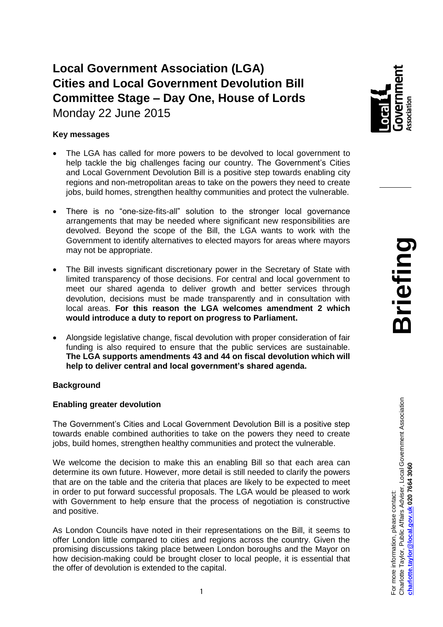# **Local Government Association (LGA) Cities and Local Government Devolution Bill Committee Stage – Day One, House of Lords** Monday 22 June 2015

## **Key messages**

- The LGA has called for more powers to be devolved to local government to help tackle the big challenges facing our country. The Government's Cities and Local Government Devolution Bill is a positive step towards enabling city regions and non-metropolitan areas to take on the powers they need to create jobs, build homes, strengthen healthy communities and protect the vulnerable.
- There is no "one-size-fits-all" solution to the stronger local governance arrangements that may be needed where significant new responsibilities are devolved. Beyond the scope of the Bill, the LGA wants to work with the Government to identify alternatives to elected mayors for areas where mayors may not be appropriate.
- The Bill invests significant discretionary power in the Secretary of State with limited transparency of those decisions. For central and local government to meet our shared agenda to deliver growth and better services through devolution, decisions must be made transparently and in consultation with local areas. **For this reason the LGA welcomes amendment 2 which would introduce a duty to report on progress to Parliament.**
- Alongside legislative change, fiscal devolution with proper consideration of fair funding is also required to ensure that the public services are sustainable. **The LGA supports amendments 43 and 44 on fiscal devolution which will help to deliver central and local government's shared agenda.**

## **Background**

## **Enabling greater devolution**

The Government's Cities and Local Government Devolution Bill is a positive step towards enable combined authorities to take on the powers they need to create jobs, build homes, strengthen healthy communities and protect the vulnerable.

We welcome the decision to make this an enabling Bill so that each area can determine its own future. However, more detail is still needed to clarify the powers that are on the table and the criteria that places are likely to be expected to meet in order to put forward successful proposals. The LGA would be pleased to work with Government to help ensure that the process of negotiation is constructive and positive.

As London Councils have noted in their representations on the Bill, it seems to offer London little compared to cities and regions across the country. Given the promising discussions taking place between London boroughs and the Mayor on how decision-making could be brought closer to local people, it is essential that the offer of devolution is extended to the capital.

wernment